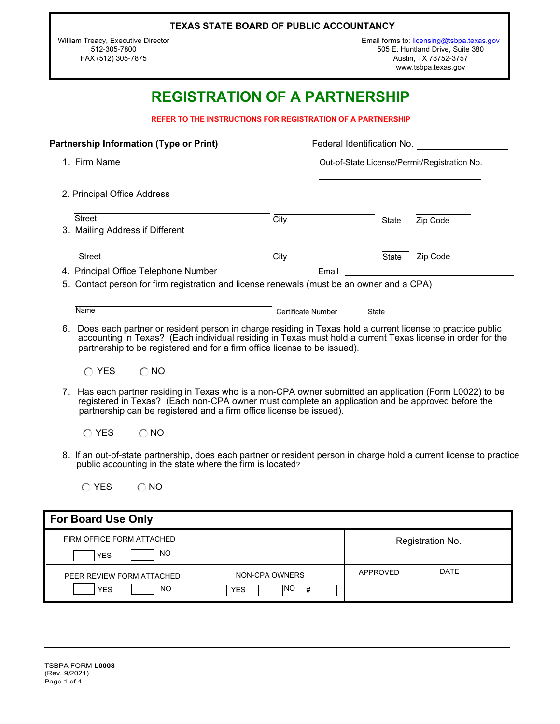|  |  |  | TEXAS STATE BOARD OF PUBLIC ACCOUNTANCY |
|--|--|--|-----------------------------------------|
|--|--|--|-----------------------------------------|

William Treacy, Executive Director 512-305-7800 FAX (512) 305-7875

# **REGISTRATION OF A PARTNERSHIP**

**REFER TO THE INSTRUCTIONS FOR REGISTRATION OF A PARTNERSHIP**

| <b>Partnership Information (Type or Print)</b> |                                                                                                                                                                                                                                                                                                       |                    | Federal Identification No. |                                              |  |
|------------------------------------------------|-------------------------------------------------------------------------------------------------------------------------------------------------------------------------------------------------------------------------------------------------------------------------------------------------------|--------------------|----------------------------|----------------------------------------------|--|
|                                                | 1. Firm Name                                                                                                                                                                                                                                                                                          |                    |                            | Out-of-State License/Permit/Registration No. |  |
|                                                | 2. Principal Office Address                                                                                                                                                                                                                                                                           |                    |                            |                                              |  |
|                                                | <b>Street</b>                                                                                                                                                                                                                                                                                         | City               | State                      | Zip Code                                     |  |
|                                                | 3. Mailing Address if Different                                                                                                                                                                                                                                                                       |                    |                            |                                              |  |
|                                                | <b>Street</b>                                                                                                                                                                                                                                                                                         | City               | <b>State</b>               | Zip Code                                     |  |
|                                                | 4. Principal Office Telephone Number                                                                                                                                                                                                                                                                  | Email              |                            |                                              |  |
|                                                | 5. Contact person for firm registration and license renewals (must be an owner and a CPA)                                                                                                                                                                                                             |                    |                            |                                              |  |
|                                                | Name                                                                                                                                                                                                                                                                                                  | Certificate Number | <b>State</b>               |                                              |  |
| 6.                                             | Does each partner or resident person in charge residing in Texas hold a current license to practice public<br>accounting in Texas? (Each individual residing in Texas must hold a current Texas license in order for the<br>partnership to be registered and for a firm office license to be issued). |                    |                            |                                              |  |

| <b>YES</b> | $\bigcirc$ NO |
|------------|---------------|
|            |               |

- 7. Has each partner residing in Texas who is a non-CPA owner submitted an application (Form L0022) to be registered in Texas? (Each non-CPA owner must complete an application and be approved before the partnership can be registered and a firm office license be issued).
	- $\bigcirc$  YES  $\bigcirc$  NO
- 8. If an out-of-state partnership, does each partner or resident person in charge hold a current license to practice public accounting in the state where the firm is located?
	- $OYES$   $ONO$

| <b>For Board Use Only</b>                            |                                          |          |                  |  |
|------------------------------------------------------|------------------------------------------|----------|------------------|--|
| FIRM OFFICE FORM ATTACHED<br>NO<br><b>YES</b>        |                                          |          | Registration No. |  |
| PEER REVIEW FORM ATTACHED<br><b>NO</b><br><b>YES</b> | NON-CPA OWNERS<br>INO<br>#<br><b>YES</b> | APPROVED | <b>DATE</b>      |  |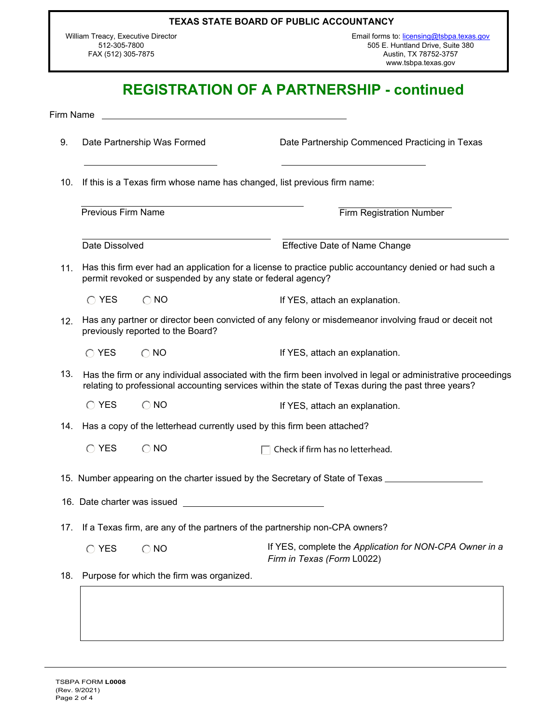#### **TEXAS STATE BOARD OF PUBLIC ACCOUNTANCY**

William Treacy, Executive Director 512-305-7800 FAX (512) 305-7875

Email forms to: [licensing@tsbpa.texas.gov](mailto:licensing@tsbpa.texas.gov) 505 E. Huntland Drive, Suite 380 Austin, TX 78752-3757 www.tsbpa.texas.gov

## **REGISTRATION OF A PARTNERSHIP - continued**

Firm Name

- 9. Date Partnership Was Formed Date Partnership Commenced Practicing in Texas
- 10. If this is a Texas firm whose name has changed, list previous firm name:

Previous Firm Name Firm Registration Number Date Dissolved Effective Date of Name Change

11. Has this firm ever had an application for a license to practice public accountancy denied or had such a permit revoked or suspended by any state or federal agency?

 $\bigcirc$  YES  $\bigcirc$  NO is the set of YES, attach an explanation.

12. Has any partner or director been convicted of any felony or misdemeanor involving fraud or deceit not previously reported to the Board?

If YES, attach an explanation.  $\bigcap$  YES  $\bigcap$  NO

13. Has the firm or any individual associated with the firm been involved in legal or administrative proceedings relating to professional accounting services within the state of Texas during the past three years?

 $\bigcirc$  YES  $\bigcirc$  NO if YES, attach an explanation.

14. Has a copy of the letterhead currently used by this firm been attached?

| $\bigcirc$ YES | $\bigcirc$ NO | $\Box$ Check if firm has no letterhead. |
|----------------|---------------|-----------------------------------------|
|----------------|---------------|-----------------------------------------|

15. Number appearing on the charter issued by the Secretary of State of Texas

- 16. Date charter was issued
- 17. If a Texas firm, are any of the partners of the partnership non-CPA owners?
	- If YES, complete the *Application for NON-CPA Owner in a Firm in Texas (Form* L0022)  $O$  YES  $O$  NO
- 18. Purpose for which the firm was organized.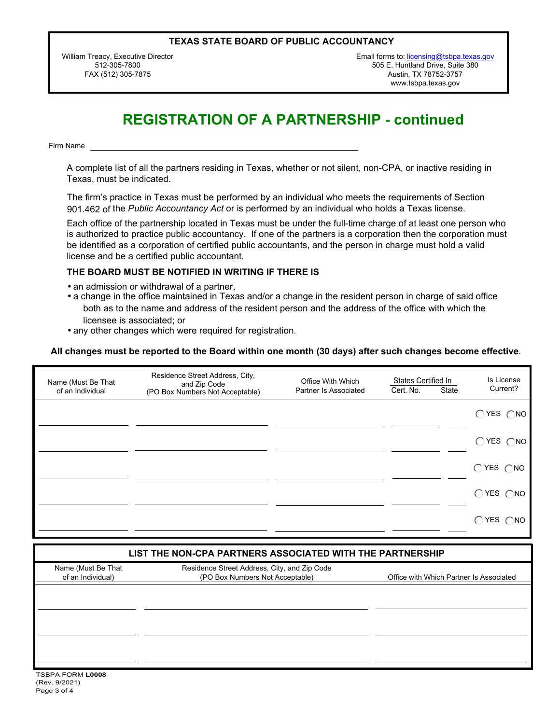#### **TEXAS STATE BOARD OF PUBLIC ACCOUNTANCY**

William Treacy, Executive Director 512-305-7800 FAX (512) 305-7875

Email forms to: [licensing@tsbpa.texas.gov](mailto:licensing@tsbpa.texas.gov) 505 E. Huntland Drive, Suite 380 Austin, TX 78752-3757 www.tsbpa.texas.gov

# **REGISTRATION OF A PARTNERSHIP - continued**

Firm Name

A complete list of all the partners residing in Texas, whether or not silent, non-CPA, or inactive residing in Texas, must be indicated.

The firm's practice in Texas must be performed by an individual who meets the requirements of Section 901.462 of the *Public Accountancy Act* or is performed by an individual who holds a Texas license.

Each office of the partnership located in Texas must be under the full-time charge of at least one person who is authorized to practice public accountancy. If one of the partners is a corporation then the corporation must be identified as a corporation of certified public accountants, and the person in charge must hold a valid license and be a certified public accountant.

#### **THE BOARD MUST BE NOTIFIED IN WRITING IF THERE IS**

- an admission or withdrawal of a partner,
- a change in the office maintained in Texas and/or a change in the resident person in charge of said office both as to the name and address of the resident person and the address of the office with which the licensee is associated; or
- any other changes which were required for registration.

#### **All changes must be reported to the Board within one month (30 days) after such changes become effective.**

| Name (Must Be That<br>of an Individual | Residence Street Address, City,<br>and Zip Code<br>(PO Box Numbers Not Acceptable) | Office With Which<br>Partner Is Associated | States Certified In<br>Cert. No. | State | Is License<br>Current?       |
|----------------------------------------|------------------------------------------------------------------------------------|--------------------------------------------|----------------------------------|-------|------------------------------|
|                                        |                                                                                    |                                            |                                  |       | $OYES$ $ONO$                 |
|                                        |                                                                                    |                                            |                                  |       | $\bigcirc$ YES $\bigcirc$ NO |
|                                        |                                                                                    |                                            |                                  |       | $\bigcirc$ YES $\bigcirc$ NO |
|                                        |                                                                                    |                                            |                                  |       | $\bigcirc$ YES $\bigcirc$ NO |
|                                        |                                                                                    |                                            |                                  |       | $\bigcirc$ YES $\bigcirc$ NO |

#### **LIST THE NON-CPA PARTNERS ASSOCIATED WITH THE PARTNERSHIP**

| Name (Must Be That<br>of an Individual) | Residence Street Address, City, and Zip Code<br>(PO Box Numbers Not Acceptable) | Office with Which Partner Is Associated |
|-----------------------------------------|---------------------------------------------------------------------------------|-----------------------------------------|
|                                         |                                                                                 |                                         |
|                                         |                                                                                 |                                         |
|                                         |                                                                                 |                                         |
|                                         |                                                                                 |                                         |